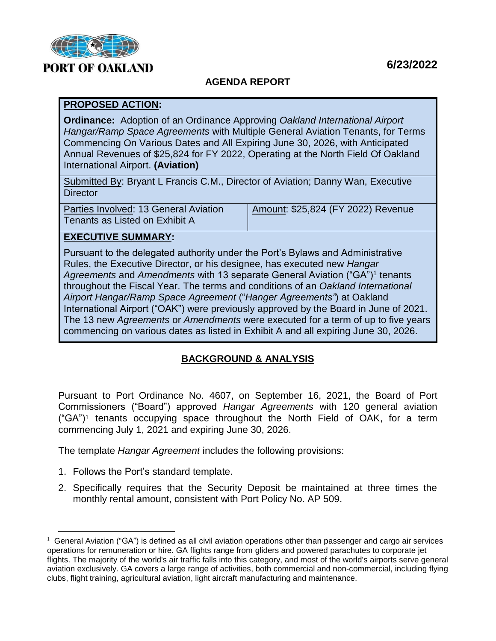

# **PORT OF OAKLAND**

## **AGENDA REPORT**

#### **PROPOSED ACTION:**

**Ordinance:** Adoption of an Ordinance Approving *Oakland International Airport Hangar/Ramp Space Agreements* with Multiple General Aviation Tenants, for Terms Commencing On Various Dates and All Expiring June 30, 2026, with Anticipated Annual Revenues of \$25,824 for FY 2022, Operating at the North Field Of Oakland International Airport. **(Aviation)**

Submitted By: Bryant L Francis C.M., Director of Aviation; Danny Wan, Executive **Director** 

| Parties Involved: 13 General Aviation | Amount: \$25,824 (FY 2022) Revenue |
|---------------------------------------|------------------------------------|
| Tenants as Listed on Exhibit A        |                                    |

## **EXECUTIVE SUMMARY:**

Pursuant to the delegated authority under the Port's Bylaws and Administrative Rules, the Executive Director, or his designee, has executed new *Hangar* Agreements and Amendments with 13 separate General Aviation ("GA")<sup>1</sup> tenants throughout the Fiscal Year. The terms and conditions of an *Oakland International Airport Hangar/Ramp Space Agreement* ("*Hanger Agreements"*) at Oakland International Airport ("OAK") were previously approved by the Board in June of 2021. The 13 new *Agreements* or *Amendments* were executed for a term of up to five years commencing on various dates as listed in Exhibit A and all expiring June 30, 2026.

## **BACKGROUND & ANALYSIS**

Pursuant to Port Ordinance No. 4607, on September 16, 2021, the Board of Port Commissioners ("Board") approved *Hangar Agreements* with 120 general aviation  $(^{\circ}GA^{\prime})^{\dagger}$  tenants occupying space throughout the North Field of OAK, for a term commencing July 1, 2021 and expiring June 30, 2026.

The template *Hangar Agreement* includes the following provisions:

1. Follows the Port's standard template.

L,

2. Specifically requires that the Security Deposit be maintained at three times the monthly rental amount, consistent with Port Policy No. AP 509.

 $1$  General Aviation ("GA") is defined as all [civil aviation](http://en.wikipedia.org/wiki/Civil_aviation) operations other than [passenger and cargo air services](http://en.wikipedia.org/wiki/Scheduled_air_transport) operations for remuneration or hire. GA flights range from [gliders](http://en.wikipedia.org/wiki/Glider_aircraft) and [powered parachutes](http://en.wikipedia.org/wiki/Powered_parachute) to corporate [jet](http://en.wikipedia.org/wiki/Jet_aircraft) flights. The majority of the world's air traffic falls into this category, and most of the world's airports serve general aviation exclusively. GA covers a [large range of activities,](http://en.wikipedia.org/wiki/List_of_general_aviation_activities) both commercial and non-commercial, including [flying](http://en.wikipedia.org/wiki/Flying_club)  [clubs,](http://en.wikipedia.org/wiki/Flying_club) [flight training,](http://en.wikipedia.org/wiki/Flight_training) [agricultural aviation,](http://en.wikipedia.org/wiki/Aerial_application) light aircraft manufacturing and maintenance.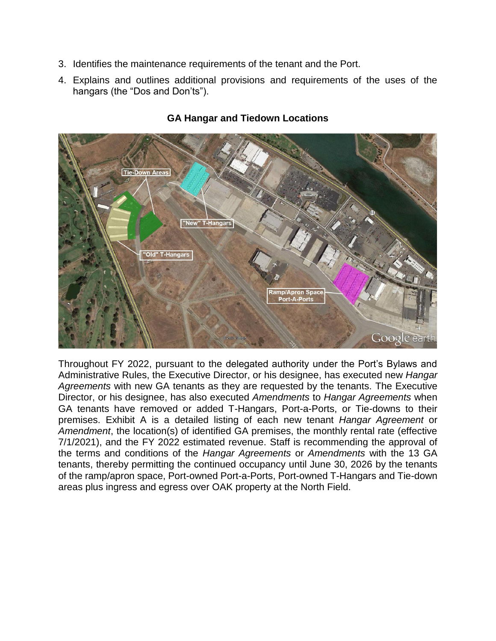- 3. Identifies the maintenance requirements of the tenant and the Port.
- 4. Explains and outlines additional provisions and requirements of the uses of the hangars (the "Dos and Don'ts").



#### **GA Hangar and Tiedown Locations**

Throughout FY 2022, pursuant to the delegated authority under the Port's Bylaws and Administrative Rules, the Executive Director, or his designee, has executed new *Hangar Agreements* with new GA tenants as they are requested by the tenants. The Executive Director, or his designee, has also executed *Amendments* to *Hangar Agreements* when GA tenants have removed or added T-Hangars, Port-a-Ports, or Tie-downs to their premises. Exhibit A is a detailed listing of each new tenant *Hangar Agreement* or *Amendment*, the location(s) of identified GA premises, the monthly rental rate (effective 7/1/2021), and the FY 2022 estimated revenue. Staff is recommending the approval of the terms and conditions of the *Hangar Agreements* or *Amendments* with the 13 GA tenants, thereby permitting the continued occupancy until June 30, 2026 by the tenants of the ramp/apron space, Port-owned Port-a-Ports, Port-owned T-Hangars and Tie-down areas plus ingress and egress over OAK property at the North Field.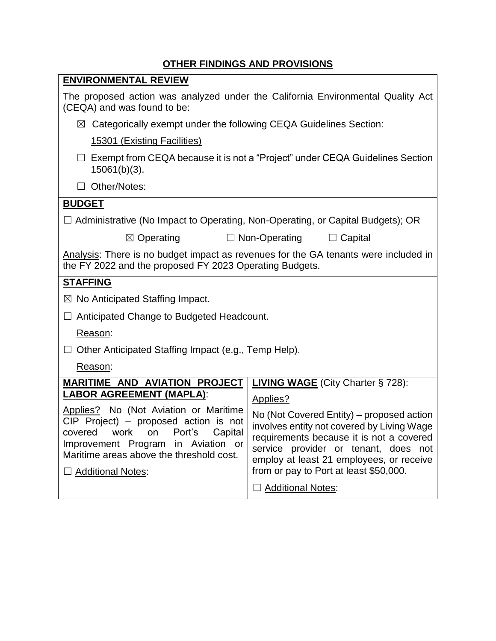# **OTHER FINDINGS AND PROVISIONS**

| <b>ENVIRONMENTAL REVIEW</b>                                                                                                                                                                                                 |                                                                                                                                                                                                                                                                   |  |  |  |  |  |
|-----------------------------------------------------------------------------------------------------------------------------------------------------------------------------------------------------------------------------|-------------------------------------------------------------------------------------------------------------------------------------------------------------------------------------------------------------------------------------------------------------------|--|--|--|--|--|
| The proposed action was analyzed under the California Environmental Quality Act<br>(CEQA) and was found to be:                                                                                                              |                                                                                                                                                                                                                                                                   |  |  |  |  |  |
| $\boxtimes$ Categorically exempt under the following CEQA Guidelines Section:                                                                                                                                               |                                                                                                                                                                                                                                                                   |  |  |  |  |  |
| 15301 (Existing Facilities)                                                                                                                                                                                                 |                                                                                                                                                                                                                                                                   |  |  |  |  |  |
| Exempt from CEQA because it is not a "Project" under CEQA Guidelines Section<br>$15061(b)(3)$ .                                                                                                                             |                                                                                                                                                                                                                                                                   |  |  |  |  |  |
| Other/Notes:                                                                                                                                                                                                                |                                                                                                                                                                                                                                                                   |  |  |  |  |  |
| <b>BUDGET</b>                                                                                                                                                                                                               |                                                                                                                                                                                                                                                                   |  |  |  |  |  |
| $\Box$ Administrative (No Impact to Operating, Non-Operating, or Capital Budgets); OR                                                                                                                                       |                                                                                                                                                                                                                                                                   |  |  |  |  |  |
| $\boxtimes$ Operating                                                                                                                                                                                                       | $\Box$ Non-Operating<br>$\Box$ Capital                                                                                                                                                                                                                            |  |  |  |  |  |
| Analysis: There is no budget impact as revenues for the GA tenants were included in<br>the FY 2022 and the proposed FY 2023 Operating Budgets.                                                                              |                                                                                                                                                                                                                                                                   |  |  |  |  |  |
| <b>STAFFING</b>                                                                                                                                                                                                             |                                                                                                                                                                                                                                                                   |  |  |  |  |  |
| $\boxtimes$ No Anticipated Staffing Impact.                                                                                                                                                                                 |                                                                                                                                                                                                                                                                   |  |  |  |  |  |
| Anticipated Change to Budgeted Headcount.                                                                                                                                                                                   |                                                                                                                                                                                                                                                                   |  |  |  |  |  |
| Reason:                                                                                                                                                                                                                     |                                                                                                                                                                                                                                                                   |  |  |  |  |  |
| Other Anticipated Staffing Impact (e.g., Temp Help).                                                                                                                                                                        |                                                                                                                                                                                                                                                                   |  |  |  |  |  |
| Reason:                                                                                                                                                                                                                     |                                                                                                                                                                                                                                                                   |  |  |  |  |  |
| <b>MARITIME AND AVIATION PROJECT</b>                                                                                                                                                                                        | <b>LIVING WAGE</b> (City Charter § 728):                                                                                                                                                                                                                          |  |  |  |  |  |
| <b>LABOR AGREEMENT (MAPLA):</b>                                                                                                                                                                                             | Applies?                                                                                                                                                                                                                                                          |  |  |  |  |  |
| Applies? No (Not Aviation or Maritime<br>$CIP$ Project) – proposed action is not<br>covered work on Port's Capital<br>Improvement Program in Aviation or<br>Maritime areas above the threshold cost.<br>□ Additional Notes: | No (Not Covered Entity) – proposed action<br>involves entity not covered by Living Wage<br>requirements because it is not a covered<br>service provider or tenant, does not<br>employ at least 21 employees, or receive<br>from or pay to Port at least \$50,000. |  |  |  |  |  |
|                                                                                                                                                                                                                             | □ Additional Notes:                                                                                                                                                                                                                                               |  |  |  |  |  |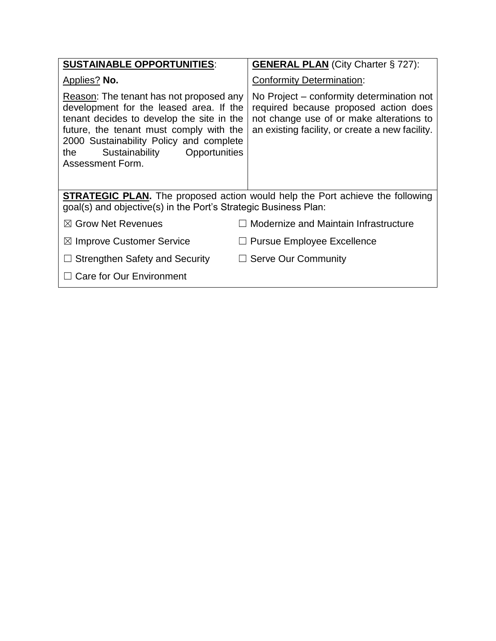| <b>SUSTAINABLE OPPORTUNITIES:</b>                                                                                                                                                                                                                                                | <b>GENERAL PLAN</b> (City Charter § 727):                                                                                                                                         |  |  |  |  |  |
|----------------------------------------------------------------------------------------------------------------------------------------------------------------------------------------------------------------------------------------------------------------------------------|-----------------------------------------------------------------------------------------------------------------------------------------------------------------------------------|--|--|--|--|--|
| <b>Applies?</b> No.                                                                                                                                                                                                                                                              | <b>Conformity Determination:</b>                                                                                                                                                  |  |  |  |  |  |
| Reason: The tenant has not proposed any<br>development for the leased area. If the<br>tenant decides to develop the site in the<br>future, the tenant must comply with the<br>2000 Sustainability Policy and complete<br>Sustainability Opportunities<br>the<br>Assessment Form. | No Project – conformity determination not<br>required because proposed action does<br>not change use of or make alterations to<br>an existing facility, or create a new facility. |  |  |  |  |  |
| <b>STRATEGIC PLAN.</b> The proposed action would help the Port achieve the following<br>goal(s) and objective(s) in the Port's Strategic Business Plan:                                                                                                                          |                                                                                                                                                                                   |  |  |  |  |  |
| $\boxtimes$ Grow Net Revenues                                                                                                                                                                                                                                                    | Modernize and Maintain Infrastructure                                                                                                                                             |  |  |  |  |  |
| $\boxtimes$ Improve Customer Service                                                                                                                                                                                                                                             | <b>Pursue Employee Excellence</b>                                                                                                                                                 |  |  |  |  |  |
| $\Box$ Strengthen Safety and Security                                                                                                                                                                                                                                            | $\Box$ Serve Our Community                                                                                                                                                        |  |  |  |  |  |
| $\Box$ Care for Our Environment                                                                                                                                                                                                                                                  |                                                                                                                                                                                   |  |  |  |  |  |